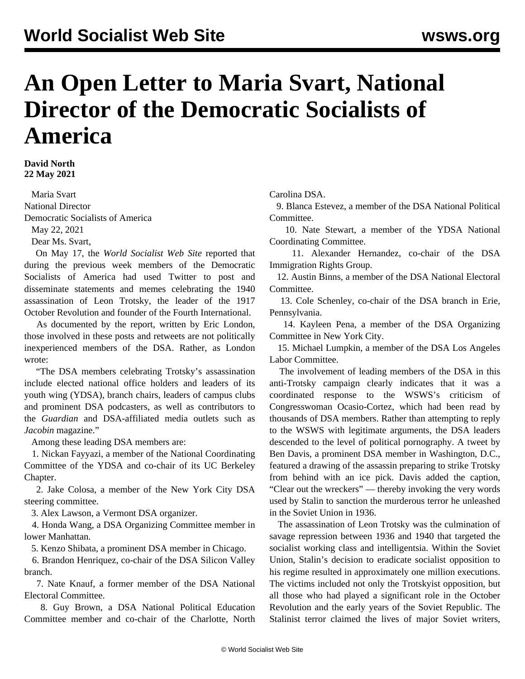## **An Open Letter to Maria Svart, National Director of the Democratic Socialists of America**

**David North 22 May 2021**

 Maria Svart National Director Democratic Socialists of America May 22, 2021 Dear Ms. Svart,

 On May 17, the *World Socialist Web Site* reported that during the previous week members of the Democratic Socialists of America had used Twitter to post and disseminate statements and memes celebrating the 1940 assassination of Leon Trotsky, the leader of the 1917 October Revolution and founder of the Fourth International.

 As documented by the [report](/en/articles/2021/05/18/pers-m18.html), written by Eric London, those involved in these posts and retweets are not politically inexperienced members of the DSA. Rather, as London wrote:

 "The DSA members celebrating Trotsky's assassination include elected national office holders and leaders of its youth wing (YDSA), branch chairs, leaders of campus clubs and prominent DSA podcasters, as well as contributors to the *Guardian* and DSA-affiliated media outlets such as *Jacobin* magazine."

Among these leading DSA members are:

 1. Nickan Fayyazi, a member of the National Coordinating Committee of the YDSA and co-chair of its UC Berkeley Chapter.

 2. Jake Colosa, a member of the New York City DSA steering committee.

3. Alex Lawson, a Vermont DSA organizer.

 4. Honda Wang, a DSA Organizing Committee member in lower Manhattan.

5. Kenzo Shibata, a prominent DSA member in Chicago.

 6. Brandon Henriquez, co-chair of the DSA Silicon Valley branch.

 7. Nate Knauf, a former member of the DSA National Electoral Committee.

 8. Guy Brown, a DSA National Political Education Committee member and co-chair of the Charlotte, North Carolina DSA.

 9. Blanca Estevez, a member of the DSA National Political Committee.

 10. Nate Stewart, a member of the YDSA National Coordinating Committee.

 11. Alexander Hernandez, co-chair of the DSA Immigration Rights Group.

 12. Austin Binns, a member of the DSA National Electoral Committee.

 13. Cole Schenley, co-chair of the DSA branch in Erie, Pennsylvania.

 14. Kayleen Pena, a member of the DSA Organizing Committee in New York City.

 15. Michael Lumpkin, a member of the DSA Los Angeles Labor Committee.

 The involvement of leading members of the DSA in this anti-Trotsky campaign clearly indicates that it was a coordinated response to the [WSWS's criticism](/en/articles/2021/03/26/aoc-m26.html) of Congresswoman Ocasio-Cortez, which had been read by thousands of DSA members. Rather than attempting to reply to the WSWS with legitimate arguments, the DSA leaders descended to the level of political pornography. A tweet by Ben Davis, a prominent DSA member in Washington, D.C., featured a drawing of the assassin preparing to strike Trotsky from behind with an ice pick. Davis added the caption, "Clear out the wreckers" — thereby invoking the very words used by Stalin to sanction the murderous terror he unleashed in the Soviet Union in 1936.

 The assassination of Leon Trotsky was the culmination of savage repression between 1936 and 1940 that targeted the socialist working class and intelligentsia. Within the Soviet Union, Stalin's decision to eradicate socialist opposition to his regime resulted in approximately one million executions. The victims included not only the Trotskyist opposition, but all those who had played a significant role in the October Revolution and the early years of the Soviet Republic. The Stalinist terror claimed the lives of major Soviet writers,